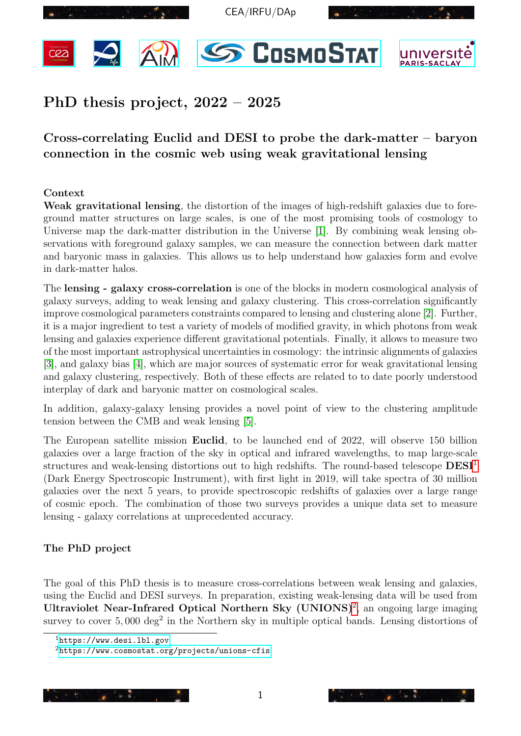<span id="page-0-2"></span>









# $PhD$  thesis project,  $2022 - 2025$

# Cross-correlating Euclid and DESI to probe the dark-matter – baryon<br>connection in the cosmic web using weak gravitational lensing Cross-correlating Euclid and DESI to probe the dark-matter – baryon

#### Context

This ensure as to help entertwisite now generates form and overve Weak gravitational lensing, the distortion of the images of high-redshift galaxies due to foreground matter structures on large scales, is one of the most promising tools of cosmology to Universe map the dark-matter distribution in the Universe [\[1\]](#page-2-0). By combining weak lensing observations with foreground galaxy samples, we can measure the connection between dark matter and baryonic mass in galaxies. This allows us to help understand how galaxies form and evolve in dark-matter halos.

iensing and galaxies experience different gravitational potentials. Finally, it allows to measure two<br>of the most important astrophysical uncertainties in cosmology: the intrinsic alignments of galaxies and galaxy clustering, respectively. Both of these effects are related to to date poorly understood interplay of dark and baryonic matter on cosmological scales. The **lensing** - galaxy cross-correlation is one of the blocks in modern cosmological analysis of galaxy surveys, adding to weak lensing and galaxy clustering. This cross-correlation significantly improve cosmological parameters constraints compared to lensing and clustering alone [\[2\]](#page-2-1). Further, it is a major ingredient to test a variety of models of modified gravity, in which photons from weak lensing and galaxies experience different gravitational potentials. Finally, it allows to measure two [\[3\]](#page-2-2), and galaxy bias [\[4\]](#page-2-3), which are major sources of systematic error for weak gravitational lensing

In addition, galaxy-galaxy lensing provides a novel point of view to the clustering amplitude  $\text{weak lensing } [\mathbf{b}]$ . tension between the CMB and weak lensing [\[5\]](#page-2-4).

The European satellite mission Euclid, to be launched end of 2022, will observe 150 billion galaxies over a large fraction of the sky in optical and infrared wavelengths, to map large-scale structures and weak-lensing distortions out to high redshifts. The round-based telescope  $\text{DESI}^1$ (Dark Energy Spectroscopic Instrument), with first light in 2019, will take spectra of 30 million galaxies over the next 5 years, to provide spectroscopic redshifts of galaxies over a large range of cosmic epoch. The combination of those two surveys provides a unique data set to measure lensing - galaxy correlations at unprecedented accuracy.

## The PhD project

The goal of this PhD thesis is to measure cross-correlations between weak lensing and galaxies, Ultraviolet Near-Infrared Optical Northern Sky  $(UNIONS)^2$ , an ongoing large imaging using the Euclid and DESI surveys. In preparation, existing weak-lensing data will be used from survey to cover  $5,000 \text{ deg}^2$  in the Northern sky in multiple optical bands. Lensing distortions of

<sup>2</sup><https://www.cosmostat.org/projects/unions-cfis>



3. Interact with other members in CosmoStat to gauge the performance of each technique.

<span id="page-0-1"></span><span id="page-0-0"></span><sup>1</sup><https://www.desi.lbl.gov>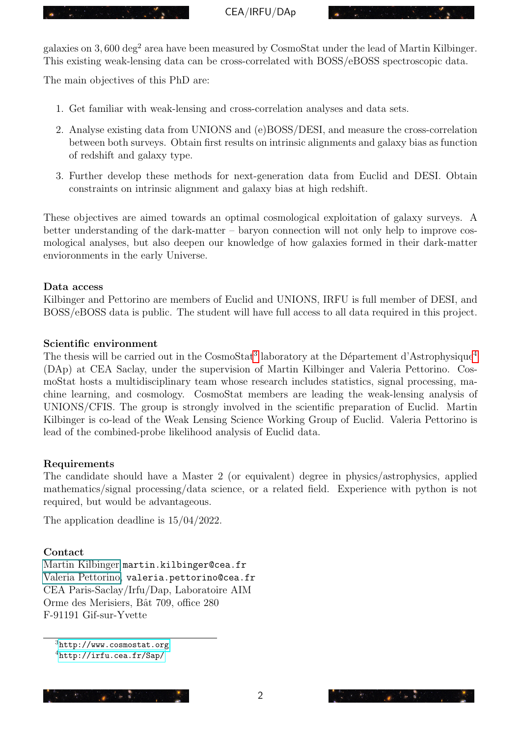

CEA/IRFU/DAp

galaxies on 3,600 deg<sup>2</sup> area have been measured by CosmoStat under the lead of Martin Kilbinger. This existing weak-lensing data can be cross-correlated with BOSS/eBOSS spectroscopic data.

The main objectives of this PhD are:

- 1. Get familiar with weak-lensing and cross-correlation analyses and data sets.
- 2. Analyse existing data from UNIONS and (e)BOSS/DESI, and measure the cross-correlation between both surveys. Obtain first results on intrinsic alignments and galaxy bias as function of redshift and galaxy type.
- 3. Further develop these methods for next-generation data from Euclid and DESI. Obtain constraints on intrinsic alignment and galaxy bias at high redshift.

These objectives are aimed towards an optimal cosmological exploitation of galaxy surveys. A better understanding of the dark-matter – baryon connection will not only help to improve cosmological analyses, but also deepen our knowledge of how galaxies formed in their dark-matter envioronments in the early Universe.

#### Data access

Kilbinger and Pettorino are members of Euclid and UNIONS, IRFU is full member of DESI, and BOSS/eBOSS data is public. The student will have full access to all data required in this project.

#### Scientific environment

The thesis will be carried out in the CosmoStat<sup>[3](#page-1-0)</sup> laboratory at the Département d'Astrophysique<sup>[4](#page-1-1)</sup> (DAp) at CEA Saclay, under the supervision of Martin Kilbinger and Valeria Pettorino. CosmoStat hosts a multidisciplinary team whose research includes statistics, signal processing, machine learning, and cosmology. CosmoStat members are leading the weak-lensing analysis of UNIONS/CFIS. The group is strongly involved in the scientific preparation of Euclid. Martin Kilbinger is co-lead of the Weak Lensing Science Working Group of Euclid. Valeria Pettorino is lead of the combined-probe likelihood analysis of Euclid data.

#### Requirements

The candidate should have a Master 2 (or equivalent) degree in physics/astrophysics, applied mathematics/signal processing/data science, or a related field. Experience with python is not required, but would be advantageous.

The application deadline is 15/04/2022.

#### Contact

[Martin Kilbinger](#page-0-2) martin.kilbinger@cea.fr [Valeria Pettorino,](#page-0-2) valeria.pettorino@cea.fr CEA Paris-Saclay/Irfu/Dap, Laboratoire AIM Orme des Merisiers, Bât 709, office 280 F-91191 Gif-sur-Yvette

<sup>4</sup><http://irfu.cea.fr/Sap/>



<span id="page-1-1"></span><span id="page-1-0"></span><sup>3</sup><http://www.cosmostat.org>